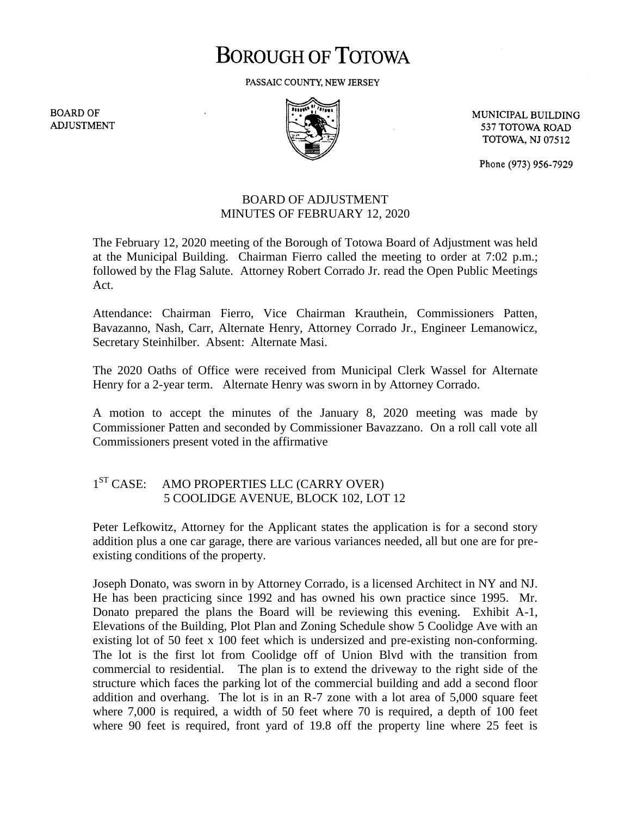# **BOROUGH OF TOTOWA**

PASSAIC COUNTY, NEW JERSEY

**BOARD OF ADJUSTMENT** 



MUNICIPAL BUILDING 537 TOTOWA ROAD **TOTOWA, NJ 07512** 

Phone (973) 956-7929

### BOARD OF ADJUSTMENT MINUTES OF FEBRUARY 12, 2020

The February 12, 2020 meeting of the Borough of Totowa Board of Adjustment was held at the Municipal Building. Chairman Fierro called the meeting to order at 7:02 p.m.; followed by the Flag Salute. Attorney Robert Corrado Jr. read the Open Public Meetings Act.

Attendance: Chairman Fierro, Vice Chairman Krauthein, Commissioners Patten, Bavazanno, Nash, Carr, Alternate Henry, Attorney Corrado Jr., Engineer Lemanowicz, Secretary Steinhilber. Absent: Alternate Masi.

The 2020 Oaths of Office were received from Municipal Clerk Wassel for Alternate Henry for a 2-year term. Alternate Henry was sworn in by Attorney Corrado.

A motion to accept the minutes of the January 8, 2020 meeting was made by Commissioner Patten and seconded by Commissioner Bavazzano. On a roll call vote all Commissioners present voted in the affirmative

#### $1<sup>ST</sup> CASE:$ AMO PROPERTIES LLC (CARRY OVER) 5 COOLIDGE AVENUE, BLOCK 102, LOT 12

Peter Lefkowitz, Attorney for the Applicant states the application is for a second story addition plus a one car garage, there are various variances needed, all but one are for preexisting conditions of the property.

Joseph Donato, was sworn in by Attorney Corrado, is a licensed Architect in NY and NJ. He has been practicing since 1992 and has owned his own practice since 1995. Mr. Donato prepared the plans the Board will be reviewing this evening. Exhibit A-1, Elevations of the Building, Plot Plan and Zoning Schedule show 5 Coolidge Ave with an existing lot of 50 feet x 100 feet which is undersized and pre-existing non-conforming. The lot is the first lot from Coolidge off of Union Blvd with the transition from commercial to residential. The plan is to extend the driveway to the right side of the structure which faces the parking lot of the commercial building and add a second floor addition and overhang. The lot is in an R-7 zone with a lot area of 5,000 square feet where 7,000 is required, a width of 50 feet where 70 is required, a depth of 100 feet where 90 feet is required, front yard of 19.8 off the property line where 25 feet is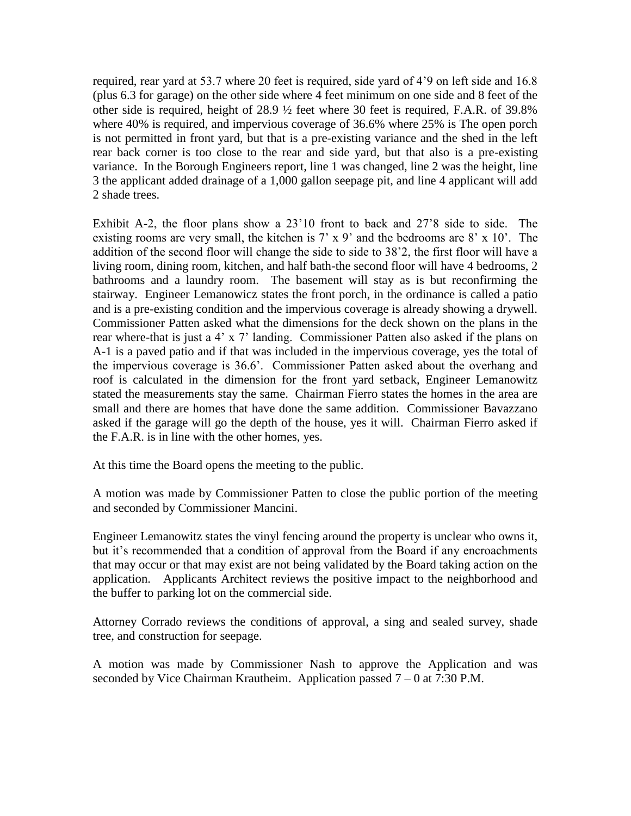required, rear yard at 53.7 where 20 feet is required, side yard of 4'9 on left side and 16.8 (plus 6.3 for garage) on the other side where 4 feet minimum on one side and 8 feet of the other side is required, height of 28.9 ½ feet where 30 feet is required, F.A.R. of 39.8% where 40% is required, and impervious coverage of 36.6% where 25% is The open porch is not permitted in front yard, but that is a pre-existing variance and the shed in the left rear back corner is too close to the rear and side yard, but that also is a pre-existing variance. In the Borough Engineers report, line 1 was changed, line 2 was the height, line 3 the applicant added drainage of a 1,000 gallon seepage pit, and line 4 applicant will add 2 shade trees.

Exhibit A-2, the floor plans show a 23'10 front to back and 27'8 side to side. The existing rooms are very small, the kitchen is 7' x 9' and the bedrooms are 8' x 10'. The addition of the second floor will change the side to side to 38'2, the first floor will have a living room, dining room, kitchen, and half bath-the second floor will have 4 bedrooms, 2 bathrooms and a laundry room. The basement will stay as is but reconfirming the stairway. Engineer Lemanowicz states the front porch, in the ordinance is called a patio and is a pre-existing condition and the impervious coverage is already showing a drywell. Commissioner Patten asked what the dimensions for the deck shown on the plans in the rear where-that is just a 4' x 7' landing. Commissioner Patten also asked if the plans on A-1 is a paved patio and if that was included in the impervious coverage, yes the total of the impervious coverage is 36.6'. Commissioner Patten asked about the overhang and roof is calculated in the dimension for the front yard setback, Engineer Lemanowitz stated the measurements stay the same. Chairman Fierro states the homes in the area are small and there are homes that have done the same addition. Commissioner Bavazzano asked if the garage will go the depth of the house, yes it will. Chairman Fierro asked if the F.A.R. is in line with the other homes, yes.

At this time the Board opens the meeting to the public.

A motion was made by Commissioner Patten to close the public portion of the meeting and seconded by Commissioner Mancini.

Engineer Lemanowitz states the vinyl fencing around the property is unclear who owns it, but it's recommended that a condition of approval from the Board if any encroachments that may occur or that may exist are not being validated by the Board taking action on the application. Applicants Architect reviews the positive impact to the neighborhood and the buffer to parking lot on the commercial side.

Attorney Corrado reviews the conditions of approval, a sing and sealed survey, shade tree, and construction for seepage.

A motion was made by Commissioner Nash to approve the Application and was seconded by Vice Chairman Krautheim. Application passed  $7 - 0$  at 7:30 P.M.